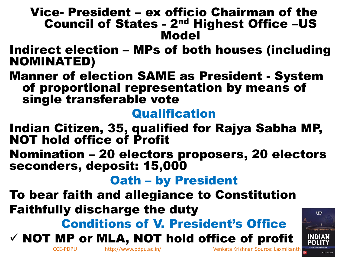#### Vice- President – ex officio Chairman of the Council of States - 2nd Highest Office –US Model

#### Indirect election – MPs of both houses (including NOMINATED)

Manner of election SAME as President - System of proportional representation by means of single transferable vote

#### **Qualification**

- Indian Citizen, 35, qualified for Rajya Sabha MP, NOT hold office of Profit
- Nomination 20 electors proposers, 20 electors seconders, deposit: 15,000

#### Oath – by President

To bear faith and allegiance to Constitution Faithfully discharge the duty

### Conditions of V. President's Office

### $\checkmark$  NOT MP or MLA, NOT hold office of profit



CCE-PDPU http://www.pdpu.ac.in/ Venkata Krishnan Source: Laxmikanth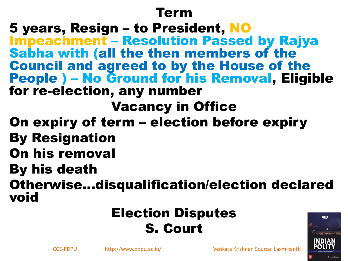#### Term

5 years, Resign – to President, NO Impeachment – Resolution Passed by Rajya Sabha with (all the then members of the Council and agreed to by the House of the People ) – No Ground for his Removal, Eligible for re-election, any number

Vacancy in Office

- On expiry of term election before expiry By Resignation
- On his removal
- By his death

Otherwise…disqualification/election declared void

### Election Disputes S. Court